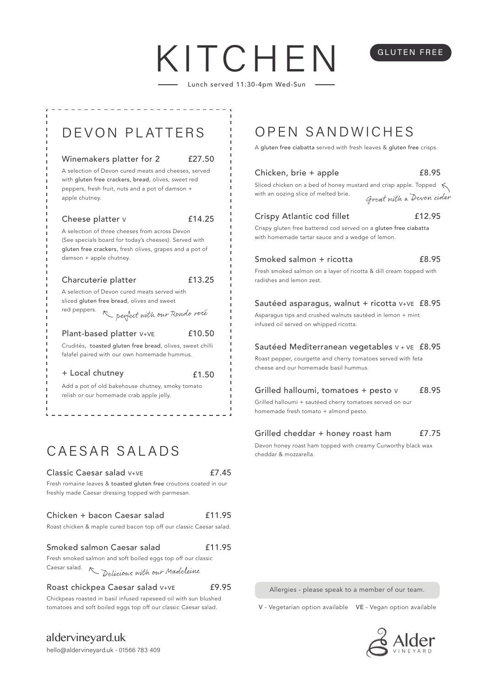# KITCHE

Lunch served 11:30-4pm Wed-Sun



## CAESAR SALADS

### Classic Caesar salad V+VE

£7.45

Fresh romaine leaves & toasted gluten free croutons coated in our freshly made Caesar dressing topped with parmesan.

#### Chicken + bacon Caesar salad £11.95

| Roast chicken & maple cured bacon top off our classic Caesar salad. |  |  |  |  |  |  |  |  |  |  |
|---------------------------------------------------------------------|--|--|--|--|--|--|--|--|--|--|
|---------------------------------------------------------------------|--|--|--|--|--|--|--|--|--|--|

#### Smoked salmon Caesar salad Fresh smoked salmon and soft boiled eggs top off our classic £11.95

Caesar salad.

Delicious with our Madeleine

Roast chickpea Caesar salad V+VE

#### £9.95

Chickpeas roasted in basil infused rapeseed oil with sun blushed tomatoes and soft boiled eggs top off our classic Caesar salad. V - Vegetarian option available VE - Vegan option available

aldervineyard.uk

A gluten free ciabatta served with fresh leaves & gluten free crisps.

| Chicken, brie + apple<br>Sliced chicken on a bed of honey mustard and crisp apple. Topped $\leq$<br>with an oozing slice of melted brie.<br>Great with a Devon cider | £8.95  |
|----------------------------------------------------------------------------------------------------------------------------------------------------------------------|--------|
| Crispy Atlantic cod fillet<br>Crispy gluten free battered cod served on a gluten free ciabatta<br>with homemade tartar sauce and a wedge of lemon.                   | £12.95 |
| Smoked salmon + ricotta<br>Fresh smoked salmon on a layer of ricotta & dill cream topped with<br>radishes and lemon zest.                                            | £8.95  |
| Sautéed asparagus, walnut + ricotta V+VE £8.95<br>Asparagus tips and crushed walnuts sautéed in lemon + mint<br>infused oil served on whipped ricotta.               |        |
| Sautéed Mediterranean vegetables v + vE £8.95<br>Roast pepper, courgette and cherry tomatoes served with feta<br>cheese and our homemade basil hummus.               |        |
| Grilled halloumi, tomatoes + pesto v<br>Grilled halloumi + sautéed cherry tomatoes served on our<br>homemade fresh tomato + almond pesto.                            | £8.95  |

#### Grilled cheddar + honey roast ham £7.75

Devon honey roast ham topped with creamy Curworthy black wax cheddar & mozzarella.

Allergies - please speak to a member of our team.



## GLUTEN FREE

hello@aldervineyard.uk · 01566 783 409